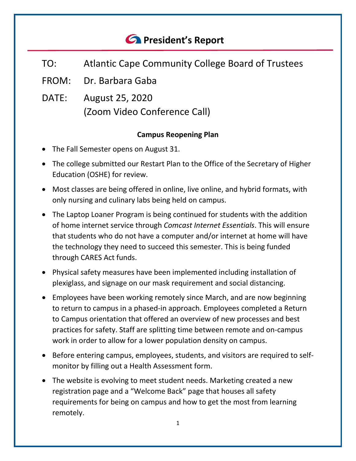# *<u>C* President's Report</u>

- TO: Atlantic Cape Community College Board of Trustees
- FROM: Dr. Barbara Gaba
- DATE: August 25, 2020 (Zoom Video Conference Call)

## **Campus Reopening Plan**

- The Fall Semester opens on August 31.
- The college submitted our Restart Plan to the Office of the Secretary of Higher Education (OSHE) for review.
- Most classes are being offered in online, live online, and hybrid formats, with only nursing and culinary labs being held on campus.
- The Laptop Loaner Program is being continued for students with the addition of home internet service through *Comcast Internet Essentials*. This will ensure that students who do not have a computer and/or internet at home will have the technology they need to succeed this semester. This is being funded through CARES Act funds.
- Physical safety measures have been implemented including installation of plexiglass, and signage on our mask requirement and social distancing.
- Employees have been working remotely since March, and are now beginning to return to campus in a phased-in approach. Employees completed a Return to Campus orientation that offered an overview of new processes and best practices for safety. Staff are splitting time between remote and on-campus work in order to allow for a lower population density on campus.
- Before entering campus, employees, students, and visitors are required to selfmonitor by filling out a Health Assessment form.
- The website is evolving to meet student needs. Marketing created a new registration page and a "Welcome Back" page that houses all safety requirements for being on campus and how to get the most from learning remotely.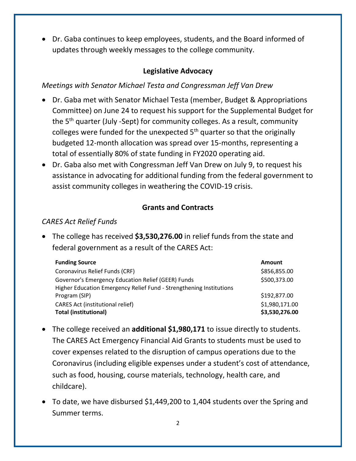• Dr. Gaba continues to keep employees, students, and the Board informed of updates through weekly messages to the college community.

## **Legislative Advocacy**

#### *Meetings with Senator Michael Testa and Congressman Jeff Van Drew*

- Dr. Gaba met with Senator Michael Testa (member, Budget & Appropriations Committee) on June 24 to request his support for the Supplemental Budget for the 5<sup>th</sup> quarter (July -Sept) for community colleges. As a result, community colleges were funded for the unexpected  $5<sup>th</sup>$  quarter so that the originally budgeted 12-month allocation was spread over 15-months, representing a total of essentially 80% of state funding in FY2020 operating aid.
- Dr. Gaba also met with Congressman Jeff Van Drew on July 9, to request his assistance in advocating for additional funding from the federal government to assist community colleges in weathering the COVID-19 crisis.

#### **Grants and Contracts**

#### *CARES Act Relief Funds*

• The college has received **\$3,530,276.00** in relief funds from the state and federal government as a result of the CARES Act:

| <b>Funding Source</b>                                               | Amount         |
|---------------------------------------------------------------------|----------------|
| Coronavirus Relief Funds (CRF)                                      | \$856,855.00   |
| Governor's Emergency Education Relief (GEER) Funds                  | \$500,373.00   |
| Higher Education Emergency Relief Fund - Strengthening Institutions |                |
| Program (SIP)                                                       | \$192,877.00   |
| <b>CARES Act (institutional relief)</b>                             | \$1,980,171.00 |
| <b>Total (institutional)</b>                                        | \$3,530,276.00 |

- The college received an **additional \$1,980,171** to issue directly to students. The CARES Act Emergency Financial Aid Grants to students must be used to cover expenses related to the disruption of campus operations due to the Coronavirus (including eligible expenses under a student's cost of attendance, such as food, housing, course materials, technology, health care, and childcare).
- To date, we have disbursed \$1,449,200 to 1,404 students over the Spring and Summer terms.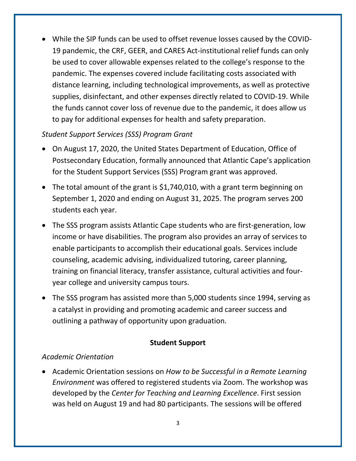• While the SIP funds can be used to offset revenue losses caused by the COVID-19 pandemic, the CRF, GEER, and CARES Act-institutional relief funds can only be used to cover allowable expenses related to the college's response to the pandemic. The expenses covered include facilitating costs associated with distance learning, including technological improvements, as well as protective supplies, disinfectant, and other expenses directly related to COVID-19. While the funds cannot cover loss of revenue due to the pandemic, it does allow us to pay for additional expenses for health and safety preparation.

#### *Student Support Services (SSS) Program Grant*

- On August 17, 2020, the United States Department of Education, Office of Postsecondary Education, formally announced that Atlantic Cape's application for the Student Support Services (SSS) Program grant was approved.
- The total amount of the grant is \$1,740,010, with a grant term beginning on September 1, 2020 and ending on August 31, 2025. The program serves 200 students each year.
- The SSS program assists Atlantic Cape students who are first-generation, low income or have disabilities. The program also provides an array of services to enable participants to accomplish their educational goals. Services include counseling, academic advising, individualized tutoring, career planning, training on financial literacy, transfer assistance, cultural activities and fouryear college and university campus tours.
- The SSS program has assisted more than 5,000 students since 1994, serving as a catalyst in providing and promoting academic and career success and outlining a pathway of opportunity upon graduation.

#### **Student Support**

#### *Academic Orientation*

• Academic Orientation sessions on *How to be Successful in a Remote Learning Environment* was offered to registered students via Zoom. The workshop was developed by the *Center for Teaching and Learning Excellence*. First session was held on August 19 and had 80 participants. The sessions will be offered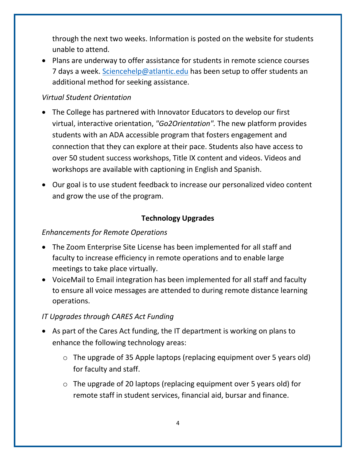through the next two weeks. Information is posted on the website for students unable to attend.

• Plans are underway to offer assistance for students in remote science courses 7 days a week. [Sciencehelp@atlantic.edu](mailto:Sciencehelp@atlantic.edu) has been setup to offer students an additional method for seeking assistance.

## *Virtual Student Orientation*

- The College has partnered with Innovator Educators to develop our first virtual, interactive orientation, *"Go2Orientation".* The new platform provides students with an ADA accessible program that fosters engagement and connection that they can explore at their pace. Students also have access to over 50 student success workshops, Title IX content and videos. Videos and workshops are available with captioning in English and Spanish.
- Our goal is to use student feedback to increase our personalized video content and grow the use of the program.

# **Technology Upgrades**

## *Enhancements for Remote Operations*

- The Zoom Enterprise Site License has been implemented for all staff and faculty to increase efficiency in remote operations and to enable large meetings to take place virtually.
- VoiceMail to Email integration has been implemented for all staff and faculty to ensure all voice messages are attended to during remote distance learning operations.

# *IT Upgrades through CARES Act Funding*

- As part of the Cares Act funding, the IT department is working on plans to enhance the following technology areas:
	- o The upgrade of 35 Apple laptops (replacing equipment over 5 years old) for faculty and staff.
	- o The upgrade of 20 laptops (replacing equipment over 5 years old) for remote staff in student services, financial aid, bursar and finance.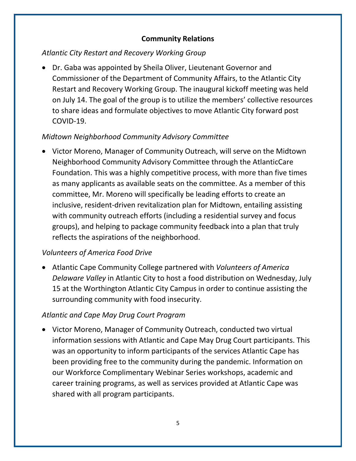#### **Community Relations**

#### *Atlantic City Restart and Recovery Working Group*

• Dr. Gaba was appointed by Sheila Oliver, Lieutenant Governor and Commissioner of the Department of Community Affairs, to the Atlantic City Restart and Recovery Working Group. The inaugural kickoff meeting was held on July 14. The goal of the group is to utilize the members' collective resources to share ideas and formulate objectives to move Atlantic City forward post COVID-19.

#### *Midtown Neighborhood Community Advisory Committee*

• Victor Moreno, Manager of Community Outreach, will serve on the Midtown Neighborhood Community Advisory Committee through the AtlanticCare Foundation. This was a highly competitive process, with more than five times as many applicants as available seats on the committee. As a member of this committee, Mr. Moreno will specifically be leading efforts to create an inclusive, resident-driven revitalization plan for Midtown, entailing assisting with community outreach efforts (including a residential survey and focus groups), and helping to package community feedback into a plan that truly reflects the aspirations of the neighborhood.

## *Volunteers of America Food Drive*

• Atlantic Cape Community College partnered with *Volunteers of America Delaware Valley* in Atlantic City to host a food distribution on Wednesday, July 15 at the Worthington Atlantic City Campus in order to continue assisting the surrounding community with food insecurity.

## *Atlantic and Cape May Drug Court Program*

• Victor Moreno, Manager of Community Outreach, conducted two virtual information sessions with Atlantic and Cape May Drug Court participants. This was an opportunity to inform participants of the services Atlantic Cape has been providing free to the community during the pandemic. Information on our Workforce Complimentary Webinar Series workshops, academic and career training programs, as well as services provided at Atlantic Cape was shared with all program participants.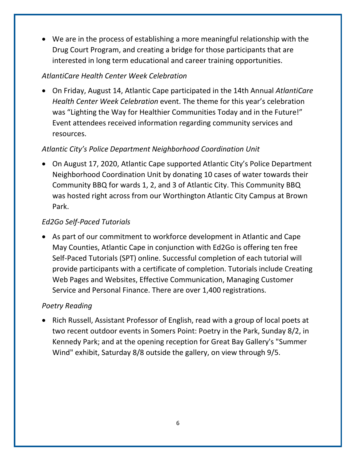• We are in the process of establishing a more meaningful relationship with the Drug Court Program, and creating a bridge for those participants that are interested in long term educational and career training opportunities.

## *AtlantiCare Health Center Week Celebration*

• On Friday, August 14, Atlantic Cape participated in the 14th Annual *AtlantiCare Health Center Week Celebration* event. The theme for this year's celebration was "Lighting the Way for Healthier Communities Today and in the Future!" Event attendees received information regarding community services and resources.

# *Atlantic City's Police Department Neighborhood Coordination Unit*

• On August 17, 2020, Atlantic Cape supported Atlantic City's Police Department Neighborhood Coordination Unit by donating 10 cases of water towards their Community BBQ for wards 1, 2, and 3 of Atlantic City. This Community BBQ was hosted right across from our Worthington Atlantic City Campus at Brown Park.

# *Ed2Go Self-Paced Tutorials*

• As part of our commitment to workforce development in Atlantic and Cape May Counties, Atlantic Cape in conjunction with Ed2Go is offering ten free Self-Paced Tutorials (SPT) online. Successful completion of each tutorial will provide participants with a certificate of completion. Tutorials include Creating Web Pages and Websites, Effective Communication, Managing Customer Service and Personal Finance. There are over 1,400 registrations.

## *Poetry Reading*

• Rich Russell, Assistant Professor of English, read with a group of local poets at two recent outdoor events in Somers Point: Poetry in the Park, Sunday 8/2, in Kennedy Park; and at the opening reception for Great Bay Gallery's "Summer Wind" exhibit, Saturday 8/8 outside the gallery, on view through 9/5.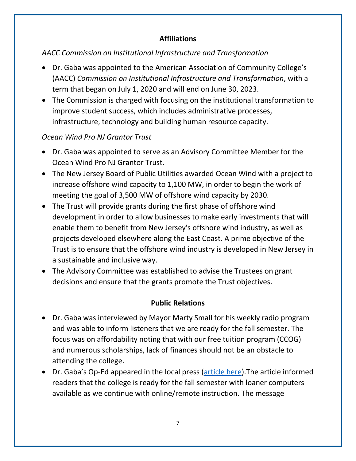## **Affiliations**

## *AACC Commission on Institutional Infrastructure and Transformation*

- Dr. Gaba was appointed to the American Association of Community College's (AACC) *Commission on Institutional Infrastructure and Transformation*, with a term that began on July 1, 2020 and will end on June 30, 2023.
- The Commission is charged with focusing on the institutional transformation to improve student success, which includes administrative processes, infrastructure, technology and building human resource capacity.

## *Ocean Wind Pro NJ Grantor Trust*

- Dr. Gaba was appointed to serve as an Advisory Committee Member for the Ocean Wind Pro NJ Grantor Trust.
- The New Jersey Board of Public Utilities awarded Ocean Wind with a project to increase offshore wind capacity to 1,100 MW, in order to begin the work of meeting the goal of 3,500 MW of offshore wind capacity by 2030.
- The Trust will provide grants during the first phase of offshore wind development in order to allow businesses to make early investments that will enable them to benefit from New Jersey's offshore wind industry, as well as projects developed elsewhere along the East Coast. A prime objective of the Trust is to ensure that the offshore wind industry is developed in New Jersey in a sustainable and inclusive way.
- The Advisory Committee was established to advise the Trustees on grant decisions and ensure that the grants promote the Trust objectives.

## **Public Relations**

- Dr. Gaba was interviewed by Mayor Marty Small for his weekly radio program and was able to inform listeners that we are ready for the fall semester. The focus was on affordability noting that with our free tuition program (CCOG) and numerous scholarships, lack of finances should not be an obstacle to attending the college.
- Dr. Gaba's Op-Ed appeared in the local press [\(article here\)](https://pressofatlanticcity.com/opinion/commentary/free-tuition-plan-loaner-computers-expand-access-to-atlantic-cape/article_e799d710-3be2-552c-b4d1-dc96d48a2646.html). The article informed readers that the college is ready for the fall semester with loaner computers available as we continue with online/remote instruction. The message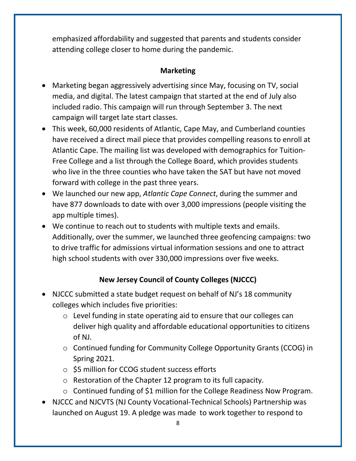emphasized affordability and suggested that parents and students consider attending college closer to home during the pandemic.

## **Marketing**

- Marketing began aggressively advertising since May, focusing on TV, social media, and digital. The latest campaign that started at the end of July also included radio. This campaign will run through September 3. The next campaign will target late start classes.
- This week, 60,000 residents of Atlantic, Cape May, and Cumberland counties have received a direct mail piece that provides compelling reasons to enroll at Atlantic Cape. The mailing list was developed with demographics for Tuition-Free College and a list through the College Board, which provides students who live in the three counties who have taken the SAT but have not moved forward with college in the past three years.
- We launched our new app, *Atlantic Cape Connect*, during the summer and have 877 downloads to date with over 3,000 impressions (people visiting the app multiple times).
- We continue to reach out to students with multiple texts and emails. Additionally, over the summer, we launched three geofencing campaigns: two to drive traffic for admissions virtual information sessions and one to attract high school students with over 330,000 impressions over five weeks.

# **New Jersey Council of County Colleges (NJCCC)**

- NJCCC submitted a state budget request on behalf of NJ's 18 community colleges which includes five priorities:
	- o Level funding in state operating aid to ensure that our colleges can deliver high quality and affordable educational opportunities to citizens of NJ.
	- o Continued funding for Community College Opportunity Grants (CCOG) in Spring 2021.
	- o \$5 million for CCOG student success efforts
	- o Restoration of the Chapter 12 program to its full capacity.
	- o Continued funding of \$1 million for the College Readiness Now Program.
- NJCCC and NJCVTS (NJ County Vocational-Technical Schools) Partnership was launched on August 19. A pledge was made to work together to respond to